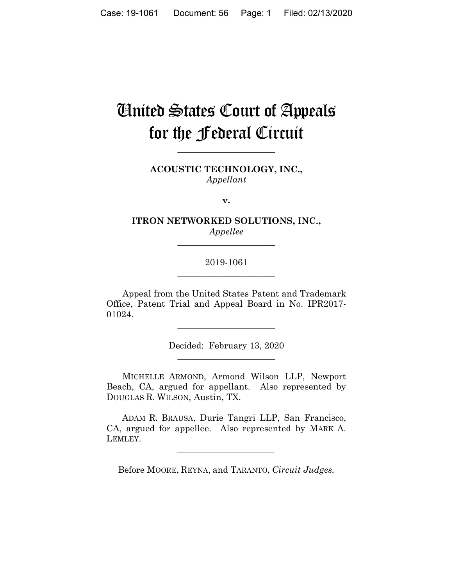# **Cinited States Court of Appeals** for the **federal** Circuit

ACOUSTIC TECHNOLOGY, INC., Appellant

v.

ITRON NETWORKED SOLUTIONS, INC., Appellee

## 2019-1061

Appeal from the United States Patent and Trademark Office, Patent Trial and Appeal Board in No. IPR2017-01024.

Decided: February 13, 2020

MICHELLE ARMOND, Armond Wilson LLP, Newport Beach, CA, argued for appellant. Also represented by DOUGLAS R. WILSON, Austin, TX.

ADAM R. BRAUSA, Durie Tangri LLP, San Francisco, CA, argued for appellee. Also represented by MARK A. LEMLEY.

Before MOORE, REYNA, and TARANTO, Circuit Judges.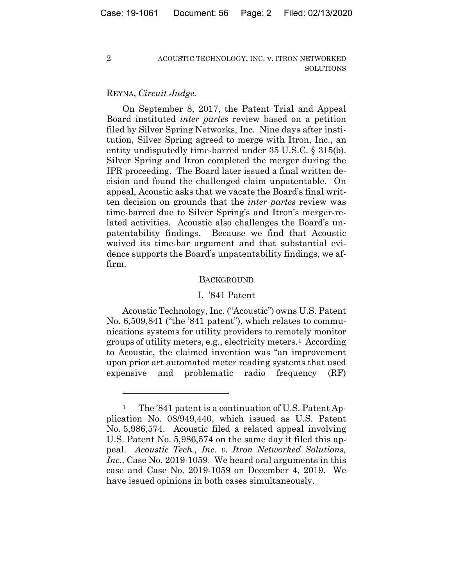# REYNA, Circuit Judge.

 $\overline{2}$ 

On September 8, 2017, the Patent Trial and Appeal Board instituted *inter partes* review based on a petition filed by Silver Spring Networks, Inc. Nine days after institution, Silver Spring agreed to merge with Itron, Inc., an entity undisputedly time-barred under  $35$  U.S.C. §  $315(b)$ . Silver Spring and Itron completed the merger during the IPR proceeding. The Board later issued a final written decision and found the challenged claim unpatentable. On appeal, Acoustic asks that we vacate the Board's final written decision on grounds that the *inter partes* review was time-barred due to Silver Spring's and Itron's merger-related activities. Acoustic also challenges the Board's unpatentability findings. Because we find that Acoustic waived its time-bar argument and that substantial evidence supports the Board's unpatentability findings, we affirm.

#### **BACKGROUND**

## I. '841 Patent

Acoustic Technology, Inc. ("Acoustic") owns U.S. Patent No. 6,509,841 ("the '841 patent"), which relates to communications systems for utility providers to remotely monitor groups of utility meters, e.g., electricity meters.<sup>1</sup> According to Acoustic, the claimed invention was "an improvement" upon prior art automated meter reading systems that used and radio frequency expensive problematic  $(RF)$ 

 $\,1$ The '841 patent is a continuation of U.S. Patent Application No. 08/949,440, which issued as U.S. Patent No. 5,986,574. Acoustic filed a related appeal involving U.S. Patent No. 5,986,574 on the same day it filed this appeal. Acoustic Tech., Inc. v. Itron Networked Solutions, *Inc.*, Case No. 2019-1059. We heard oral arguments in this case and Case No. 2019-1059 on December 4, 2019. We have issued opinions in both cases simultaneously.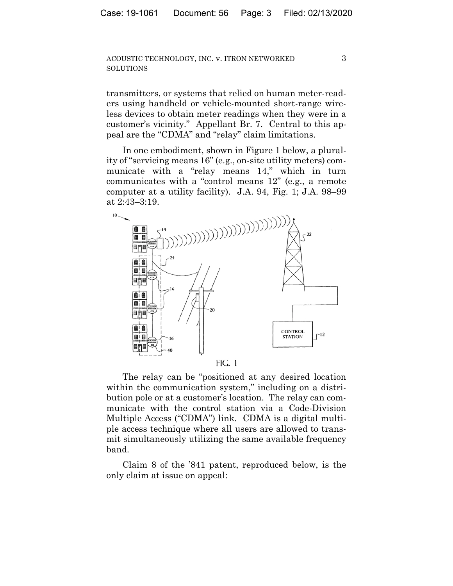transmitters, or systems that relied on human meter-readers using handheld or vehicle-mounted short-range wireless devices to obtain meter readings when they were in a customer's vicinity." Appellant Br. 7. Central to this appeal are the "CDMA" and "relay" claim limitations.

In one embodiment, shown in Figure 1 below, a plurality of "servicing means 16" (e.g., on-site utility meters) communicate with a "relay means 14," which in turn communicates with a "control means 12" (e.g., a remote computer at a utility facility). J.A. 94, Fig. 1; J.A. 98–99 at 2:43–3:19.



FIG. 1

The relay can be "positioned at any desired location within the communication system," including on a distribution pole or at a customer's location. The relay can communicate with the control station via a Code-Division Multiple Access ("CDMA") link. CDMA is a digital multiple access technique where all users are allowed to transmit simultaneously utilizing the same available frequency band.

Claim 8 of the '841 patent, reproduced below, is the only claim at issue on appeal: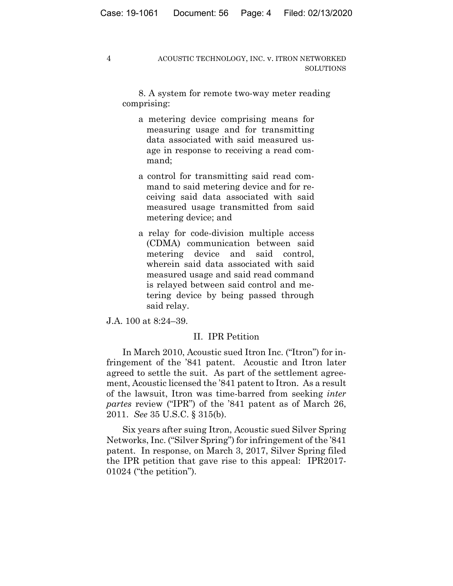8. A system for remote two-way meter reading comprising:

- a metering device comprising means for measuring usage and for transmitting data associated with said measured usage in response to receiving a read command;
- a control for transmitting said read command to said metering device and for receiving said data associated with said measured usage transmitted from said metering device; and
- a relay for code-division multiple access (CDMA) communication between said metering device and said control, wherein said data associated with said measured usage and said read command is relayed between said control and metering device by being passed through said relay.

J.A. 100 at 8:24–39.

#### II. IPR Petition

In March 2010, Acoustic sued Itron Inc. ("Itron") for infringement of the '841 patent. Acoustic and Itron later agreed to settle the suit. As part of the settlement agreement, Acoustic licensed the '841 patent to Itron. As a result of the lawsuit, Itron was time-barred from seeking *inter partes* review ("IPR") of the '841 patent as of March 26, 2011. *See* 35 U.S.C. § 315(b).

Six years after suing Itron, Acoustic sued Silver Spring Networks, Inc. ("Silver Spring") for infringement of the '841 patent. In response, on March 3, 2017, Silver Spring filed the IPR petition that gave rise to this appeal: IPR2017- 01024 ("the petition").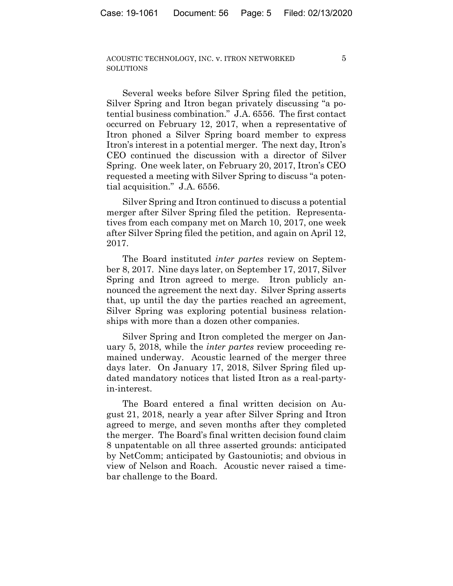$\overline{5}$ 

Several weeks before Silver Spring filed the petition, Silver Spring and Itron began privately discussing "a potential business combination." J.A. 6556. The first contact occurred on February 12, 2017, when a representative of Itron phoned a Silver Spring board member to express Itron's interest in a potential merger. The next day, Itron's CEO continued the discussion with a director of Silver Spring. One week later, on February 20, 2017, Itron's CEO requested a meeting with Silver Spring to discuss "a potential acquisition." J.A. 6556.

Silver Spring and Itron continued to discuss a potential merger after Silver Spring filed the petition. Representatives from each company met on March 10, 2017, one week after Silver Spring filed the petition, and again on April 12, 2017.

The Board instituted *inter partes* review on September 8, 2017. Nine days later, on September 17, 2017, Silver Spring and Itron agreed to merge. Itron publicly announced the agreement the next day. Silver Spring asserts that, up until the day the parties reached an agreement, Silver Spring was exploring potential business relationships with more than a dozen other companies.

Silver Spring and Itron completed the merger on January 5, 2018, while the *inter partes* review proceeding remained underway. Acoustic learned of the merger three days later. On January 17, 2018, Silver Spring filed updated mandatory notices that listed Itron as a real-partyin-interest.

The Board entered a final written decision on August 21, 2018, nearly a year after Silver Spring and Itron agreed to merge, and seven months after they completed the merger. The Board's final written decision found claim 8 unpatentable on all three asserted grounds: anticipated by NetComm; anticipated by Gastouniotis; and obvious in view of Nelson and Roach. Acoustic never raised a timebar challenge to the Board.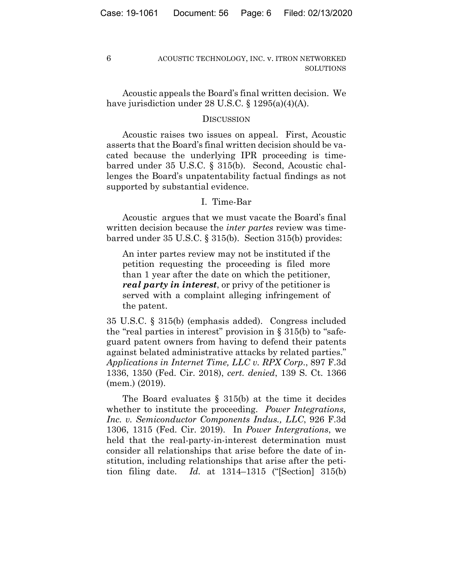Acoustic appeals the Board's final written decision. We have jurisdiction under 28 U.S.C. § 1295(a)(4)(A).

## **DISCUSSION**

Acoustic raises two issues on appeal. First, Acoustic asserts that the Board's final written decision should be vacated because the underlying IPR proceeding is timebarred under 35 U.S.C. § 315(b). Second, Acoustic challenges the Board's unpatentability factual findings as not supported by substantial evidence.

# I. Time-Bar

Acoustic argues that we must vacate the Board's final written decision because the *inter partes* review was timebarred under 35 U.S.C. § 315(b). Section 315(b) provides:

An inter partes review may not be instituted if the petition requesting the proceeding is filed more than 1 year after the date on which the petitioner, *real party in interest*, or privy of the petitioner is served with a complaint alleging infringement of the patent.

35 U.S.C. § 315(b) (emphasis added). Congress included the "real parties in interest" provision in  $\S 315(b)$  to "safeguard patent owners from having to defend their patents against belated administrative attacks by related parties." *Applications in Internet Time, LLC v. RPX Corp*., 897 F.3d 1336, 1350 (Fed. Cir. 2018), *cert. denied*, 139 S. Ct. 1366 (mem.) (2019).

The Board evaluates  $\S$  315(b) at the time it decides whether to institute the proceeding. *Power Integrations, Inc. v. Semiconductor Components Indus., LLC*, 926 F.3d 1306, 1315 (Fed. Cir. 2019). In *Power Intergrations*, we held that the real-party-in-interest determination must consider all relationships that arise before the date of institution, including relationships that arise after the petition filing date. *Id.* at 1314–1315 ("[Section] 315(b)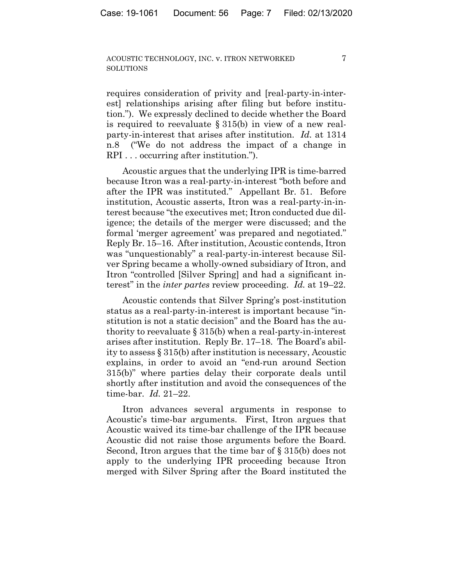7

requires consideration of privity and [real-party-in-interest] relationships arising after filing but before institution."). We expressly declined to decide whether the Board is required to reevaluate § 315(b) in view of a new realparty-in-interest that arises after institution. *Id.* at 1314 n.8 ("We do not address the impact of a change in RPI . . . occurring after institution.").

Acoustic argues that the underlying IPR is time-barred because Itron was a real-party-in-interest "both before and after the IPR was instituted." Appellant Br. 51. Before institution, Acoustic asserts, Itron was a real-party-in-interest because "the executives met; Itron conducted due diligence; the details of the merger were discussed; and the formal 'merger agreement' was prepared and negotiated." Reply Br. 15–16. After institution, Acoustic contends, Itron was "unquestionably" a real-party-in-interest because Silver Spring became a wholly-owned subsidiary of Itron, and Itron "controlled [Silver Spring] and had a significant interest" in the *inter partes* review proceeding. *Id.* at 19–22.

Acoustic contends that Silver Spring's post-institution status as a real-party-in-interest is important because "institution is not a static decision" and the Board has the authority to reevaluate  $\S 315(b)$  when a real-party-in-interest arises after institution. Reply Br. 17–18. The Board's ability to assess § 315(b) after institution is necessary, Acoustic explains, in order to avoid an "end-run around Section 315(b)" where parties delay their corporate deals until shortly after institution and avoid the consequences of the time-bar. *Id.* 21–22.

Itron advances several arguments in response to Acoustic's time-bar arguments. First, Itron argues that Acoustic waived its time-bar challenge of the IPR because Acoustic did not raise those arguments before the Board. Second, Itron argues that the time bar of § 315(b) does not apply to the underlying IPR proceeding because Itron merged with Silver Spring after the Board instituted the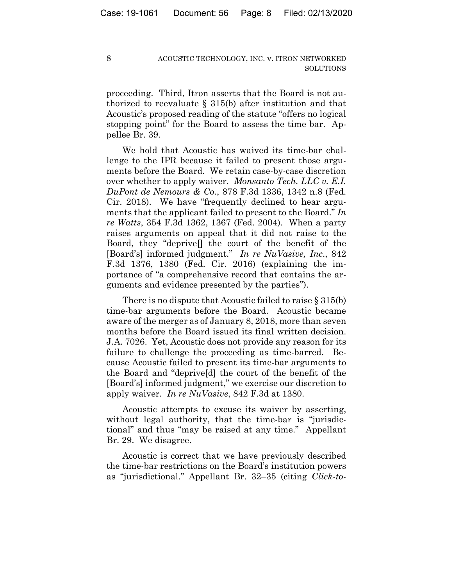proceeding. Third, Itron asserts that the Board is not authorized to reevaluate § 315(b) after institution and that Acoustic's proposed reading of the statute "offers no logical stopping point" for the Board to assess the time bar. Appellee Br. 39.

We hold that Acoustic has waived its time-bar challenge to the IPR because it failed to present those arguments before the Board. We retain case-by-case discretion over whether to apply waiver. *Monsanto Tech. LLC v. E.I. DuPont de Nemours & Co.*, 878 F.3d 1336, 1342 n.8 (Fed. Cir. 2018). We have "frequently declined to hear arguments that the applicant failed to present to the Board." *In re Watts*, 354 F.3d 1362, 1367 (Fed. 2004). When a party raises arguments on appeal that it did not raise to the Board, they "deprive[] the court of the benefit of the [Board's] informed judgment." *In re NuVasive, Inc*., 842 F.3d 1376, 1380 (Fed. Cir. 2016) (explaining the importance of "a comprehensive record that contains the arguments and evidence presented by the parties").

There is no dispute that Acoustic failed to raise § 315(b) time-bar arguments before the Board. Acoustic became aware of the merger as of January 8, 2018, more than seven months before the Board issued its final written decision. J.A. 7026. Yet, Acoustic does not provide any reason for its failure to challenge the proceeding as time-barred. Because Acoustic failed to present its time-bar arguments to the Board and "deprive[d] the court of the benefit of the [Board's] informed judgment," we exercise our discretion to apply waiver. *In re NuVasive*, 842 F.3d at 1380.

Acoustic attempts to excuse its waiver by asserting, without legal authority, that the time-bar is "jurisdictional" and thus "may be raised at any time." Appellant Br. 29. We disagree.

Acoustic is correct that we have previously described the time-bar restrictions on the Board's institution powers as "jurisdictional." Appellant Br. 32–35 (citing *Click-to-*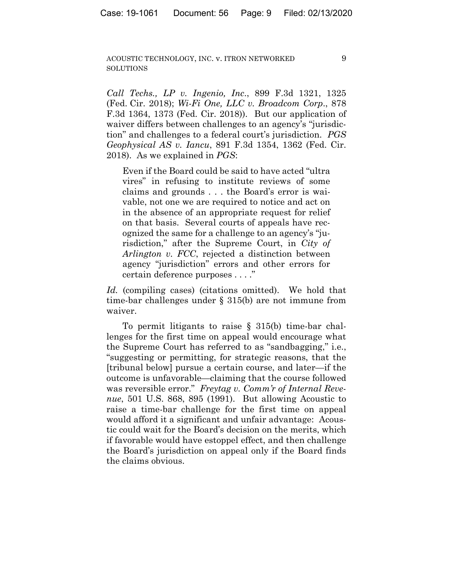9

*Call Techs., LP v. Ingenio, Inc*., 899 F.3d 1321, 1325 (Fed. Cir. 2018); *Wi-Fi One, LLC v. Broadcom Corp*., 878 F.3d 1364, 1373 (Fed. Cir. 2018)). But our application of waiver differs between challenges to an agency's "jurisdiction" and challenges to a federal court's jurisdiction. *PGS Geophysical AS v. Iancu*, 891 F.3d 1354, 1362 (Fed. Cir. 2018). As we explained in *PGS*:

Even if the Board could be said to have acted "ultra vires" in refusing to institute reviews of some claims and grounds . . . the Board's error is waivable, not one we are required to notice and act on in the absence of an appropriate request for relief on that basis. Several courts of appeals have recognized the same for a challenge to an agency's "jurisdiction," after the Supreme Court, in *City of Arlington v. FCC*, rejected a distinction between agency "jurisdiction" errors and other errors for certain deference purposes . . . ."

*Id.* (compiling cases) (citations omitted). We hold that time-bar challenges under § 315(b) are not immune from waiver.

To permit litigants to raise § 315(b) time-bar challenges for the first time on appeal would encourage what the Supreme Court has referred to as "sandbagging," i.e., "suggesting or permitting, for strategic reasons, that the [tribunal below] pursue a certain course, and later—if the outcome is unfavorable—claiming that the course followed was reversible error." *Freytag v. Comm'r of Internal Revenue*, 501 U.S. 868, 895 (1991). But allowing Acoustic to raise a time-bar challenge for the first time on appeal would afford it a significant and unfair advantage: Acoustic could wait for the Board's decision on the merits, which if favorable would have estoppel effect, and then challenge the Board's jurisdiction on appeal only if the Board finds the claims obvious.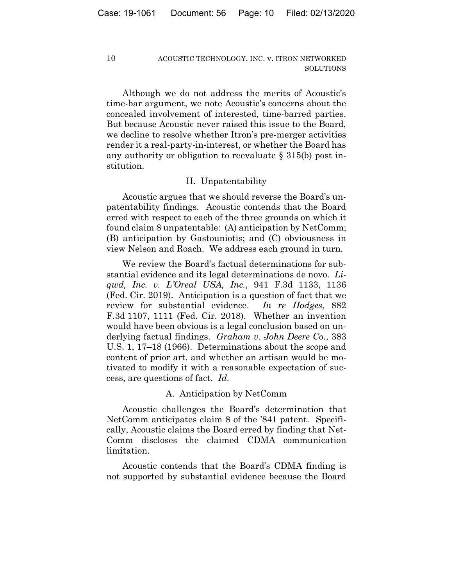Although we do not address the merits of Acoustic's time-bar argument, we note Acoustic's concerns about the concealed involvement of interested, time-barred parties. But because Acoustic never raised this issue to the Board, we decline to resolve whether Itron's pre-merger activities render it a real-party-in-interest, or whether the Board has any authority or obligation to reevaluate § 315(b) post institution.

## II. Unpatentability

Acoustic argues that we should reverse the Board's unpatentability findings. Acoustic contends that the Board erred with respect to each of the three grounds on which it found claim 8 unpatentable: (A) anticipation by NetComm; (B) anticipation by Gastouniotis; and (C) obviousness in view Nelson and Roach. We address each ground in turn.

We review the Board's factual determinations for substantial evidence and its legal determinations de novo. *Liqwd, Inc. v. L'Oreal USA, Inc.*, 941 F.3d 1133, 1136 (Fed. Cir. 2019). Anticipation is a question of fact that we review for substantial evidence. *In re Hodges*, 882 F.3d 1107, 1111 (Fed. Cir. 2018). Whether an invention would have been obvious is a legal conclusion based on underlying factual findings. *Graham v. John Deere Co.*, 383 U.S. 1, 17–18 (1966). Determinations about the scope and content of prior art, and whether an artisan would be motivated to modify it with a reasonable expectation of success, are questions of fact. *Id.*

#### A. Anticipation by NetComm

Acoustic challenges the Board's determination that NetComm anticipates claim 8 of the '841 patent. Specifically, Acoustic claims the Board erred by finding that Net-Comm discloses the claimed CDMA communication limitation.

Acoustic contends that the Board's CDMA finding is not supported by substantial evidence because the Board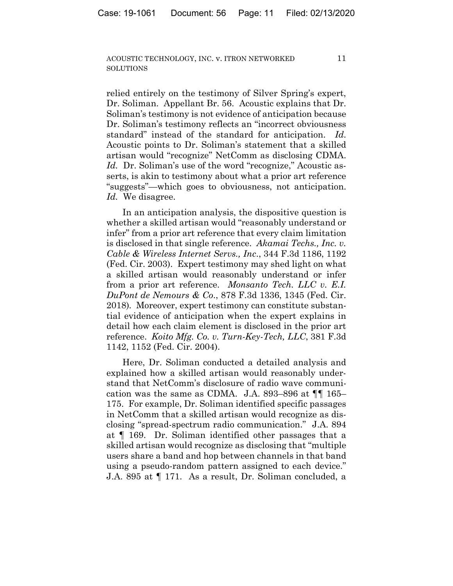11

relied entirely on the testimony of Silver Spring's expert, Dr. Soliman. Appellant Br. 56. Acoustic explains that Dr. Soliman's testimony is not evidence of anticipation because Dr. Soliman's testimony reflects an "incorrect obviousness standard" instead of the standard for anticipation. *Id*. Acoustic points to Dr. Soliman's statement that a skilled artisan would "recognize" NetComm as disclosing CDMA. Id. Dr. Soliman's use of the word "recognize," Acoustic asserts, is akin to testimony about what a prior art reference "suggests"—which goes to obviousness, not anticipation. *Id.* We disagree.

In an anticipation analysis, the dispositive question is whether a skilled artisan would "reasonably understand or infer" from a prior art reference that every claim limitation is disclosed in that single reference. *Akamai Techs., Inc. v. Cable & Wireless Internet Servs., Inc*., 344 F.3d 1186, 1192 (Fed. Cir. 2003). Expert testimony may shed light on what a skilled artisan would reasonably understand or infer from a prior art reference. *Monsanto Tech. LLC v. E.I. DuPont de Nemours & Co*., 878 F.3d 1336, 1345 (Fed. Cir. 2018)*.* Moreover, expert testimony can constitute substantial evidence of anticipation when the expert explains in detail how each claim element is disclosed in the prior art reference. *Koito Mfg. Co. v. Turn-Key-Tech, LLC*, 381 F.3d 1142, 1152 (Fed. Cir. 2004).

Here, Dr. Soliman conducted a detailed analysis and explained how a skilled artisan would reasonably understand that NetComm's disclosure of radio wave communication was the same as CDMA. J.A. 893–896 at  $\P\P$  165– 175. For example, Dr. Soliman identified specific passages in NetComm that a skilled artisan would recognize as disclosing "spread-spectrum radio communication." J.A. 894 at ¶ 169. Dr. Soliman identified other passages that a skilled artisan would recognize as disclosing that "multiple users share a band and hop between channels in that band using a pseudo-random pattern assigned to each device." J.A. 895 at ¶ 171. As a result, Dr. Soliman concluded, a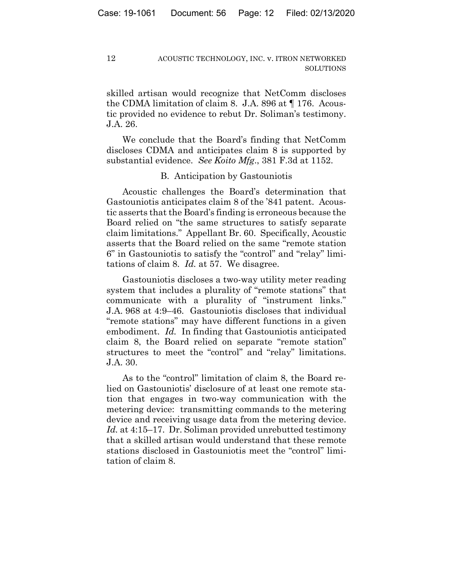skilled artisan would recognize that NetComm discloses the CDMA limitation of claim 8. J.A. 896 at ¶ 176. Acoustic provided no evidence to rebut Dr. Soliman's testimony. J.A. 26.

We conclude that the Board's finding that NetComm discloses CDMA and anticipates claim 8 is supported by substantial evidence. *See Koito Mfg*., 381 F.3d at 1152.

# B. Anticipation by Gastouniotis

Acoustic challenges the Board's determination that Gastouniotis anticipates claim 8 of the '841 patent. Acoustic asserts that the Board's finding is erroneous because the Board relied on "the same structures to satisfy separate claim limitations." Appellant Br. 60. Specifically, Acoustic asserts that the Board relied on the same "remote station 6" in Gastouniotis to satisfy the "control" and "relay" limitations of claim 8. *Id.* at 57. We disagree.

Gastouniotis discloses a two-way utility meter reading system that includes a plurality of "remote stations" that communicate with a plurality of "instrument links." J.A. 968 at 4:9–46. Gastouniotis discloses that individual "remote stations" may have different functions in a given embodiment. *Id.* In finding that Gastouniotis anticipated claim 8, the Board relied on separate "remote station" structures to meet the "control" and "relay" limitations. J.A. 30.

As to the "control" limitation of claim 8, the Board relied on Gastouniotis' disclosure of at least one remote station that engages in two-way communication with the metering device: transmitting commands to the metering device and receiving usage data from the metering device. *Id.* at 4:15–17. Dr. Soliman provided unrebutted testimony that a skilled artisan would understand that these remote stations disclosed in Gastouniotis meet the "control" limitation of claim 8.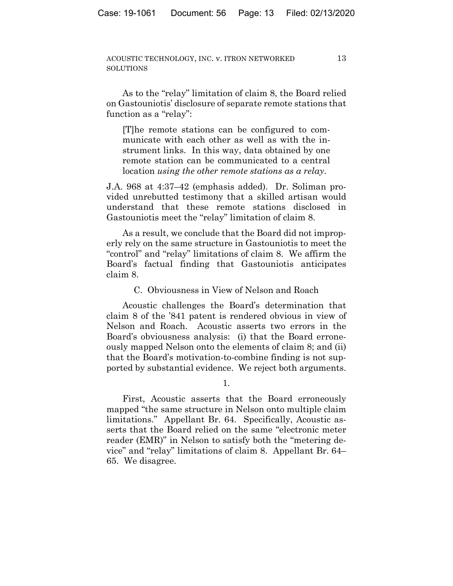13

As to the "relay" limitation of claim 8, the Board relied on Gastouniotis' disclosure of separate remote stations that function as a "relay":

[T] he remote stations can be configured to communicate with each other as well as with the instrument links. In this way, data obtained by one remote station can be communicated to a central location using the other remote stations as a relay.

J.A. 968 at 4:37–42 (emphasis added). Dr. Soliman provided unrebutted testimony that a skilled artisan would understand that these remote stations disclosed in Gastouniotis meet the "relay" limitation of claim 8.

As a result, we conclude that the Board did not improperly rely on the same structure in Gastouniotis to meet the "control" and "relay" limitations of claim 8. We affirm the Board's factual finding that Gastouniotis anticipates claim 8.

C. Obviousness in View of Nelson and Roach

Acoustic challenges the Board's determination that claim 8 of the '841 patent is rendered obvious in view of Nelson and Roach. Acoustic asserts two errors in the Board's obviousness analysis: (i) that the Board erroneously mapped Nelson onto the elements of claim 8; and (ii) that the Board's motivation-to-combine finding is not supported by substantial evidence. We reject both arguments.

First, Acoustic asserts that the Board erroneously mapped "the same structure in Nelson onto multiple claim limitations." Appellant Br. 64. Specifically, Acoustic asserts that the Board relied on the same "electronic meter reader (EMR)" in Nelson to satisfy both the "metering device" and "relay" limitations of claim 8. Appellant Br. 64– 65. We disagree.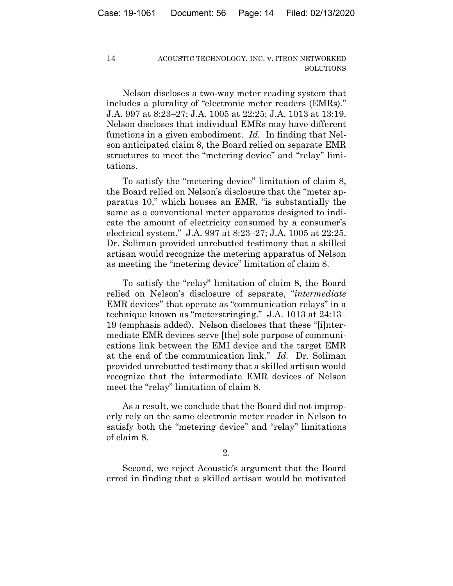Nelson discloses a two-way meter reading system that includes a plurality of "electronic meter readers (EMRs)." J.A. 997 at 8:23–27; J.A. 1005 at 22:25; J.A. 1013 at 13:19. Nelson discloses that individual EMRs may have different functions in a given embodiment. *Id.* In finding that Nelson anticipated claim 8, the Board relied on separate EMR structures to meet the "metering device" and "relay" limitations.

To satisfy the "metering device" limitation of claim 8, the Board relied on Nelson's disclosure that the "meter apparatus 10," which houses an EMR, "is substantially the same as a conventional meter apparatus designed to indicate the amount of electricity consumed by a consumer's electrical system." J.A. 997 at 8:23–27; J.A. 1005 at 22:25. Dr. Soliman provided unrebutted testimony that a skilled artisan would recognize the metering apparatus of Nelson as meeting the "metering device" limitation of claim 8.

To satisfy the "relay" limitation of claim 8, the Board relied on Nelson's disclosure of separate, "*intermediate* EMR devices" that operate as "communication relays" in a technique known as "meterstringing." J.A. 1013 at 24:13– 19 (emphasis added). Nelson discloses that these "[i]ntermediate EMR devices serve [the] sole purpose of communications link between the EMI device and the target EMR at the end of the communication link." *Id.* Dr. Soliman provided unrebutted testimony that a skilled artisan would recognize that the intermediate EMR devices of Nelson meet the "relay" limitation of claim 8.

As a result, we conclude that the Board did not improperly rely on the same electronic meter reader in Nelson to satisfy both the "metering device" and "relay" limitations of claim 8.

2.

Second, we reject Acoustic's argument that the Board erred in finding that a skilled artisan would be motivated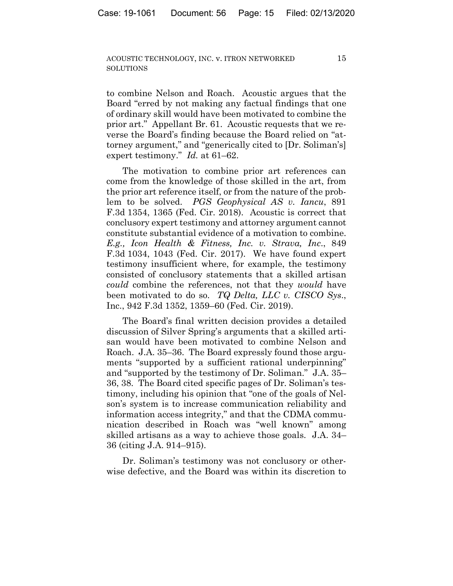to combine Nelson and Roach. Acoustic argues that the Board "erred by not making any factual findings that one of ordinary skill would have been motivated to combine the prior art." Appellant Br. 61. Acoustic requests that we reverse the Board's finding because the Board relied on "attorney argument," and "generically cited to [Dr. Soliman's] expert testimony." *Id.* at 61–62.

The motivation to combine prior art references can come from the knowledge of those skilled in the art, from the prior art reference itself, or from the nature of the problem to be solved. *PGS Geophysical AS v. Iancu*, 891 F.3d 1354, 1365 (Fed. Cir. 2018). Acoustic is correct that conclusory expert testimony and attorney argument cannot constitute substantial evidence of a motivation to combine. *E.g., Icon Health & Fitness, Inc. v. Strava, Inc*., 849 F.3d 1034, 1043 (Fed. Cir. 2017). We have found expert testimony insufficient where, for example, the testimony consisted of conclusory statements that a skilled artisan *could* combine the references, not that they *would* have been motivated to do so. *TQ Delta, LLC v. CISCO Sys*., Inc., 942 F.3d 1352, 1359–60 (Fed. Cir. 2019).

The Board's final written decision provides a detailed discussion of Silver Spring's arguments that a skilled artisan would have been motivated to combine Nelson and Roach. J.A. 35–36. The Board expressly found those arguments "supported by a sufficient rational underpinning" and "supported by the testimony of Dr. Soliman." J.A. 35– 36, 38. The Board cited specific pages of Dr. Soliman's testimony, including his opinion that "one of the goals of Nelson's system is to increase communication reliability and information access integrity," and that the CDMA communication described in Roach was "well known" among skilled artisans as a way to achieve those goals. J.A. 34– 36 (citing J.A. 914–915).

Dr. Soliman's testimony was not conclusory or otherwise defective, and the Board was within its discretion to